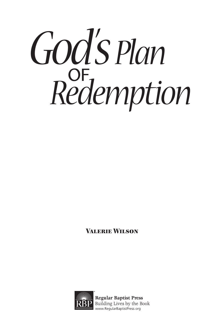# God's Plan  $R$ *edemption*

Valerie Wilson



**Regular Baptist Press** Building Lives by the Book www.RegularBaptistPress.org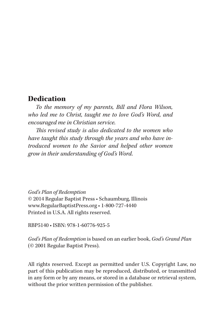# **Dedication**

*To the memory of my parents, Bill and Flora Wilson, who led me to Christ, taught me to love God's Word, and encouraged me in Christian service.*

*This revised study is also dedicated to the women who have taught this study through the years and who have introduced women to the Savior and helped other women grow in their understanding of God's Word.*

*God's Plan of Redemption* © 2014 Regular Baptist Press • Schaumburg, Illinois www.RegularBaptistPress.org • 1-800-727-4440 Printed in U.S.A. All rights reserved.

RBP5140 • ISBN: 978-1-60776-925-5

*God's Plan of Redemption* is based on an earlier book, *God's Grand Plan* (© 2001 Regular Baptist Press).

All rights reserved. Except as permitted under U.S. Copyright Law, no part of this publication may be reproduced, distributed, or transmitted in any form or by any means, or stored in a database or retrieval system, without the prior written permission of the publisher.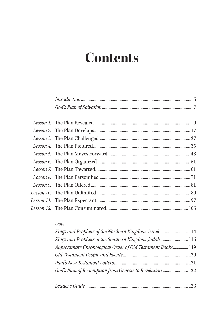# **Contents**

## Lists

| Kings and Prophets of the Northern Kingdom, Israel 114     |  |
|------------------------------------------------------------|--|
| Kings and Prophets of the Southern Kingdom, Judah  116     |  |
| Approximate Chronological Order of Old Testament Books 119 |  |
|                                                            |  |
|                                                            |  |
| God's Plan of Redemption from Genesis to Revelation  122   |  |
|                                                            |  |
|                                                            |  |

|--|--|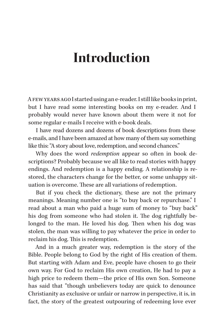# **Introduction**

A few years ago I started using an e-reader. I still like books in print, but I have read some interesting books on my e-reader. And I probably would never have known about them were it not for some regular e-mails I receive with e-book deals.

I have read dozens and dozens of book descriptions from these e-mails, and I have been amazed at how many of them say something like this: "A story about love, redemption, and second chances."

Why does the word *redemption* appear so often in book descriptions? Probably because we all like to read stories with happy endings. And redemption is a happy ending. A relationship is restored, the characters change for the better, or some unhappy situation is overcome. These are all variations of redemption.

But if you check the dictionary, these are not the primary meanings. Meaning number one is "to buy back or repurchase." I read about a man who paid a huge sum of money to "buy back" his dog from someone who had stolen it. The dog rightfully belonged to the man. He loved his dog. Then when his dog was stolen, the man was willing to pay whatever the price in order to reclaim his dog. This is redemption.

And in a much greater way, redemption is the story of the Bible. People belong to God by the right of His creation of them. But starting with Adam and Eve, people have chosen to go their own way. For God to reclaim His own creation, He had to pay a high price to redeem them—the price of His own Son. Someone has said that "though unbelievers today are quick to denounce Christianity as exclusive or unfair or narrow in perspective, it is, in fact, the story of the greatest outpouring of redeeming love ever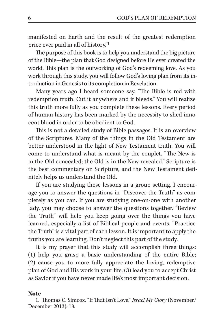manifested on Earth and the result of the greatest redemption price ever paid in all of history."1

The purpose of this book is to help you understand the big picture of the Bible—the plan that God designed before He ever created the world. This plan is the outworking of God's redeeming love. As you work through this study, you will follow God's loving plan from its introduction in Genesis to its completion in Revelation.

Many years ago I heard someone say, "The Bible is red with redemption truth. Cut it anywhere and it bleeds." You will realize this truth more fully as you complete these lessons. Every period of human history has been marked by the necessity to shed innocent blood in order to be obedient to God.

This is not a detailed study of Bible passages. It is an overview of the Scriptures. Many of the things in the Old Testament are better understood in the light of New Testament truth. You will come to understand what is meant by the couplet, "The New is in the Old concealed; the Old is in the New revealed." Scripture is the best commentary on Scripture, and the New Testament definitely helps us understand the Old.

If you are studying these lessons in a group setting, I encourage you to answer the questions in "Discover the Truth" as completely as you can. If you are studying one-on-one with another lady, you may choose to answer the questions together. "Review the Truth" will help you keep going over the things you have learned, especially a list of Biblical people and events. "Practice the Truth" is a vital part of each lesson. It is important to apply the truths you are learning. Don't neglect this part of the study.

It is my prayer that this study will accomplish three things: (1) help you grasp a basic understanding of the entire Bible; (2) cause you to more fully appreciate the loving, redemptive plan of God and His work in your life; (3) lead you to accept Christ as Savior if you have never made life's most important decision.

#### Note

1. Thomas C. Simcox, "If That Isn't Love," *Israel My Glory* (November/ December 2013): 18.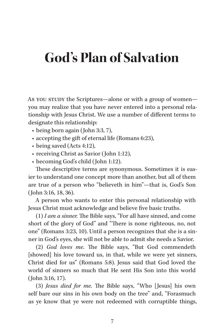# **God's Plan of Salvation**

As you study the Scriptures-alone or with a group of womenyou may realize that you have never entered into a personal relationship with Jesus Christ. We use a number of different terms to designate this relationship:

- being born again (John 3:3, 7),
- accepting the gift of eternal life (Romans 6:23),
- being saved (Acts 4:12),
- receiving Christ as Savior (John 1:12),
- becoming God's child (John 1:12).

These descriptive terms are synonymous. Sometimes it is easier to understand one concept more than another, but all of them are true of a person who "believeth in him"—that is, God's Son (John 3:16, 18, 36).

A person who wants to enter this personal relationship with Jesus Christ must acknowledge and believe five basic truths.

(1) *I am a sinner.* The Bible says, "For all have sinned, and come short of the glory of God" and "There is none righteous, no, not one" (Romans 3:23, 10). Until a person recognizes that she is a sinner in God's eyes, she will not be able to admit she needs a Savior.

(2) *God loves me*. The Bible says, "But God commendeth [showed] his love toward us, in that, while we were yet sinners, Christ died for us" (Romans 5:8). Jesus said that God loved the world of sinners so much that He sent His Son into this world (John 3:16, 17).

(3) *Jesus died for me.* The Bible says, "Who [Jesus] his own self bare our sins in his own body on the tree" and, "Forasmuch as ye know that ye were not redeemed with corruptible things,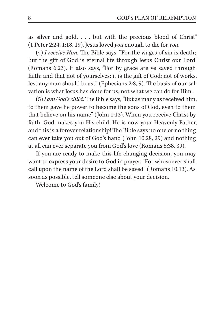as silver and gold,  $\ldots$  but with the precious blood of Christ" (1 Peter 2:24; 1:18, 19). Jesus loved *you* enough to die for *you*.

(4) *I receive Him.* The Bible says, "For the wages of sin is death; but the gift of God is eternal life through Jesus Christ our Lord" (Romans 6:23). It also says, "For by grace are ye saved through faith; and that not of yourselves: it is the gift of God: not of works, lest any man should boast" (Ephesians 2:8, 9). The basis of our salvation is what Jesus has done for us; not what we can do for Him.

(5) *I am God's child.* The Bible says, "But as many as received him, to them gave he power to become the sons of God, even to them that believe on his name" (John 1:12). When you receive Christ by faith, God makes you His child. He is now your Heavenly Father, and this is a forever relationship! The Bible says no one or no thing can ever take you out of God's hand (John 10:28, 29) and nothing at all can ever separate you from God's love (Romans 8:38, 39).

If you are ready to make this life-changing decision, you may want to express your desire to God in prayer. "For whosoever shall call upon the name of the Lord shall be saved" (Romans 10:13). As soon as possible, tell someone else about your decision.

Welcome to God's family!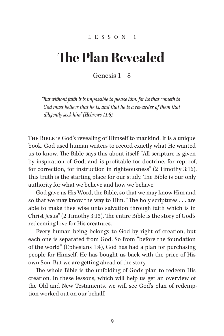#### LESSON 1

# **The Plan Revealed**

Genesis 1—8

*"But without faith it is impossible to please him: for he that cometh to God must believe that he is, and that he is a rewarder of them that diligently seek him" (Hebrews 11:6).*

The Bible is God's revealing of Himself to mankind. It is a unique book. God used human writers to record exactly what He wanted us to know. The Bible says this about itself: "All scripture is given by inspiration of God, and is profitable for doctrine, for reproof, for correction, for instruction in righteousness" (2 Timothy 3:16). This truth is the starting place for our study. The Bible is our only authority for what we believe and how we behave.

God gave us His Word, the Bible, so that we may know Him and so that we may know the way to Him. "The holy scriptures . . . are able to make thee wise unto salvation through faith which is in Christ Jesus" (2 Timothy 3:15). The entire Bible is the story of God's redeeming love for His creatures.

Every human being belongs to God by right of creation, but each one is separated from God. So from "before the foundation of the world" (Ephesians 1:4), God has had a plan for purchasing people for Himself. He has bought us back with the price of His own Son. But we are getting ahead of the story.

The whole Bible is the unfolding of God's plan to redeem His creation. In these lessons, which will help us get an overview of the Old and New Testaments, we will see God's plan of redemption worked out on our behalf.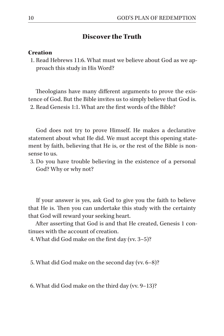## Discover the Truth

#### **Creation**

1. Read Hebrews 11:6. What must we believe about God as we approach this study in His Word?

Theologians have many different arguments to prove the existence of God. But the Bible invites us to simply believe that God is. 2. Read Genesis 1:1. What are the first words of the Bible?

God does not try to prove Himself. He makes a declarative statement about what He did. We must accept this opening statement by faith, believing that He is, or the rest of the Bible is nonsense to us.

3. Do you have trouble believing in the existence of a personal God? Why or why not?

If your answer is yes, ask God to give you the faith to believe that He is. Then you can undertake this study with the certainty that God will reward your seeking heart.

After asserting that God is and that He created, Genesis 1 continues with the account of creation.

4. What did God make on the first day (vv. 3–5)?

5. What did God make on the second day (vv. 6–8)?

6. What did God make on the third day (vv. 9–13)?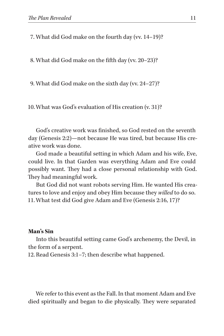7. What did God make on the fourth day (vv. 14–19)?

8. What did God make on the fifth day (vv. 20–23)?

9. What did God make on the sixth day (vv. 24–27)?

10.What was God's evaluation of His creation (v. 31)?

God's creative work was finished, so God rested on the seventh day (Genesis 2:2)—not because He was tired, but because His creative work was done.

God made a beautiful setting in which Adam and his wife, Eve, could live. In that Garden was everything Adam and Eve could possibly want. They had a close personal relationship with God. They had meaningful work.

But God did not want robots serving Him. He wanted His creatures to love and enjoy and obey Him because they *willed* to do so. 11.What test did God give Adam and Eve (Genesis 2:16, 17)?

## Man's Sin

Into this beautiful setting came God's archenemy, the Devil, in the form of a serpent.

12. Read Genesis 3:1–7; then describe what happened.

We refer to this event as the Fall. In that moment Adam and Eve died spiritually and began to die physically. They were separated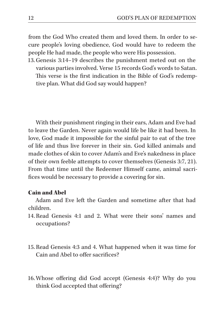from the God Who created them and loved them. In order to secure people's loving obedience, God would have to redeem the people He had made, the people who were His possession.

13.Genesis 3:14–19 describes the punishment meted out on the various parties involved. Verse 15 records God's words to Satan. This verse is the first indication in the Bible of God's redemptive plan. What did God say would happen?

With their punishment ringing in their ears, Adam and Eve had to leave the Garden. Never again would life be like it had been. In love, God made it impossible for the sinful pair to eat of the tree of life and thus live forever in their sin. God killed animals and made clothes of skin to cover Adam's and Eve's nakedness in place of their own feeble attempts to cover themselves (Genesis 3:7, 21). From that time until the Redeemer Himself came, animal sacrifices would be necessary to provide a covering for sin.

## Cain and Abel

Adam and Eve left the Garden and sometime after that had children.

- 14. Read Genesis 4:1 and 2. What were their sons' names and occupations?
- 15. Read Genesis 4:3 and 4. What happened when it was time for Cain and Abel to offer sacrifices?
- 16.Whose offering did God accept (Genesis 4:4)? Why do you think God accepted that offering?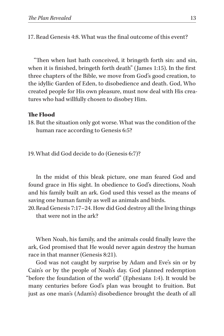17. Read Genesis 4:8. What was the final outcome of this event?

"Then when lust hath conceived, it bringeth forth sin: and sin, when it is finished, bringeth forth death" (James 1:15). In the first three chapters of the Bible, we move from God's good creation, to the idyllic Garden of Eden, to disobedience and death. God, Who created people for His own pleasure, must now deal with His creatures who had willfully chosen to disobey Him.

## The Flood

18. But the situation only got worse. What was the condition of the human race according to Genesis 6:5?

19.What did God decide to do (Genesis 6:7)?

In the midst of this bleak picture, one man feared God and found grace in His sight. In obedience to God's directions, Noah and his family built an ark. God used this vessel as the means of saving one human family as well as animals and birds.

20.Read Genesis 7:17–24. How did God destroy all the living things that were not in the ark?

When Noah, his family, and the animals could finally leave the ark, God promised that He would never again destroy the human race in that manner (Genesis 8:21).

God was not caught by surprise by Adam and Eve's sin or by Cain's or by the people of Noah's day. God planned redemption "before the foundation of the world" (Ephesians 1:4). It would be many centuries before God's plan was brought to fruition. But just as one man's (Adam's) disobedience brought the death of all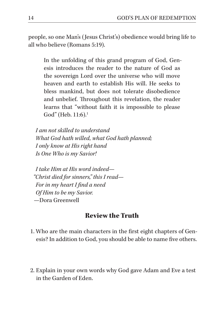people, so one Man's (Jesus Christ's) obedience would bring life to all who believe (Romans 5:19).

In the unfolding of this grand program of God, Genesis introduces the reader to the nature of God as the sovereign Lord over the universe who will move heaven and earth to establish His will. He seeks to bless mankind, but does not tolerate disobedience and unbelief. Throughout this revelation, the reader learns that "without faith it is impossible to please  $God" (Heb. 11:6).<sup>1</sup>$ 

*I am not skilled to understand What God hath willed, what God hath planned; I only know at His right hand Is One Who is my Savior!*

*I take Him at His word indeed— "Christ died for sinners," this I read— For in my heart I find a need Of Him to be my Savior.* —Dora Greenwell

# Review the Truth

- 1. Who are the main characters in the first eight chapters of Genesis? In addition to God, you should be able to name five others.
- 2. Explain in your own words why God gave Adam and Eve a test in the Garden of Eden.